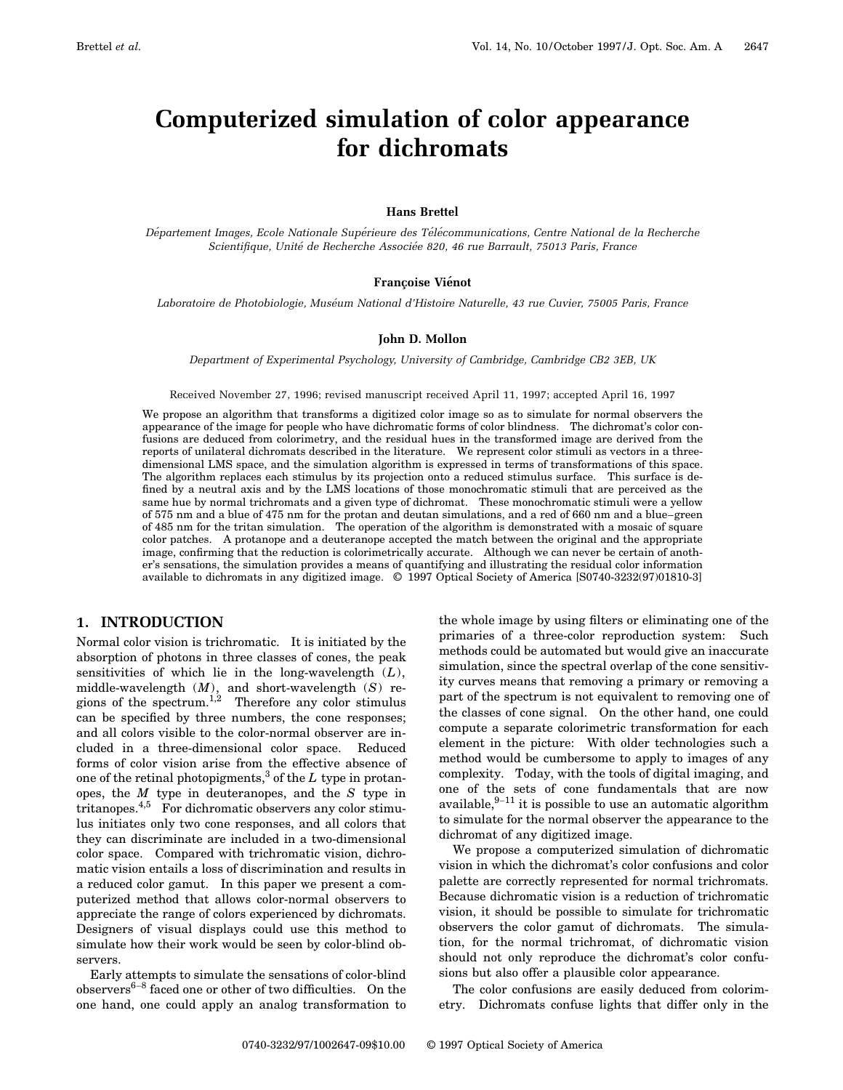# **Computerized simulation of color appearance for dichromats**

## **Hans Brettel**

*De´partement Images, Ecole Nationale Supe´rieure des Te´le´communications, Centre National de la Recherche Scientifique, Unite´ de Recherche Associe´e 820, 46 rue Barrault, 75013 Paris, France*

## **Françoise Vienot**

*Laboratoire de Photobiologie, Muse´um National d'Histoire Naturelle, 43 rue Cuvier, 75005 Paris, France*

## **John D. Mollon**

*Department of Experimental Psychology, University of Cambridge, Cambridge CB2 3EB, UK*

Received November 27, 1996; revised manuscript received April 11, 1997; accepted April 16, 1997

We propose an algorithm that transforms a digitized color image so as to simulate for normal observers the appearance of the image for people who have dichromatic forms of color blindness. The dichromat's color confusions are deduced from colorimetry, and the residual hues in the transformed image are derived from the reports of unilateral dichromats described in the literature. We represent color stimuli as vectors in a threedimensional LMS space, and the simulation algorithm is expressed in terms of transformations of this space. The algorithm replaces each stimulus by its projection onto a reduced stimulus surface. This surface is defined by a neutral axis and by the LMS locations of those monochromatic stimuli that are perceived as the same hue by normal trichromats and a given type of dichromat. These monochromatic stimuli were a yellow of 575 nm and a blue of 475 nm for the protan and deutan simulations, and a red of 660 nm and a blue–green of 485 nm for the tritan simulation. The operation of the algorithm is demonstrated with a mosaic of square color patches. A protanope and a deuteranope accepted the match between the original and the appropriate image, confirming that the reduction is colorimetrically accurate. Although we can never be certain of another's sensations, the simulation provides a means of quantifying and illustrating the residual color information available to dichromats in any digitized image. © 1997 Optical Society of America [S0740-3232(97)01810-3]

# **1. INTRODUCTION**

Normal color vision is trichromatic. It is initiated by the absorption of photons in three classes of cones, the peak sensitivities of which lie in the long-wavelength (*L*), middle-wavelength (*M*), and short-wavelength (*S*) regions of the spectrum.<sup>1,2</sup> Therefore any color stimulus can be specified by three numbers, the cone responses; and all colors visible to the color-normal observer are included in a three-dimensional color space. Reduced forms of color vision arise from the effective absence of one of the retinal photopigments,<sup>3</sup> of the  $L$  type in protanopes, the *M* type in deuteranopes, and the *S* type in tritanopes.4,5 For dichromatic observers any color stimulus initiates only two cone responses, and all colors that they can discriminate are included in a two-dimensional color space. Compared with trichromatic vision, dichromatic vision entails a loss of discrimination and results in a reduced color gamut. In this paper we present a computerized method that allows color-normal observers to appreciate the range of colors experienced by dichromats. Designers of visual displays could use this method to simulate how their work would be seen by color-blind observers.

Early attempts to simulate the sensations of color-blind  $observers<sup>6-8</sup>$  faced one or other of two difficulties. On the one hand, one could apply an analog transformation to

the whole image by using filters or eliminating one of the primaries of a three-color reproduction system: Such methods could be automated but would give an inaccurate simulation, since the spectral overlap of the cone sensitivity curves means that removing a primary or removing a part of the spectrum is not equivalent to removing one of the classes of cone signal. On the other hand, one could compute a separate colorimetric transformation for each element in the picture: With older technologies such a method would be cumbersome to apply to images of any complexity. Today, with the tools of digital imaging, and one of the sets of cone fundamentals that are now available, $9-11$  it is possible to use an automatic algorithm to simulate for the normal observer the appearance to the dichromat of any digitized image.

We propose a computerized simulation of dichromatic vision in which the dichromat's color confusions and color palette are correctly represented for normal trichromats. Because dichromatic vision is a reduction of trichromatic vision, it should be possible to simulate for trichromatic observers the color gamut of dichromats. The simulation, for the normal trichromat, of dichromatic vision should not only reproduce the dichromat's color confusions but also offer a plausible color appearance.

The color confusions are easily deduced from colorimetry. Dichromats confuse lights that differ only in the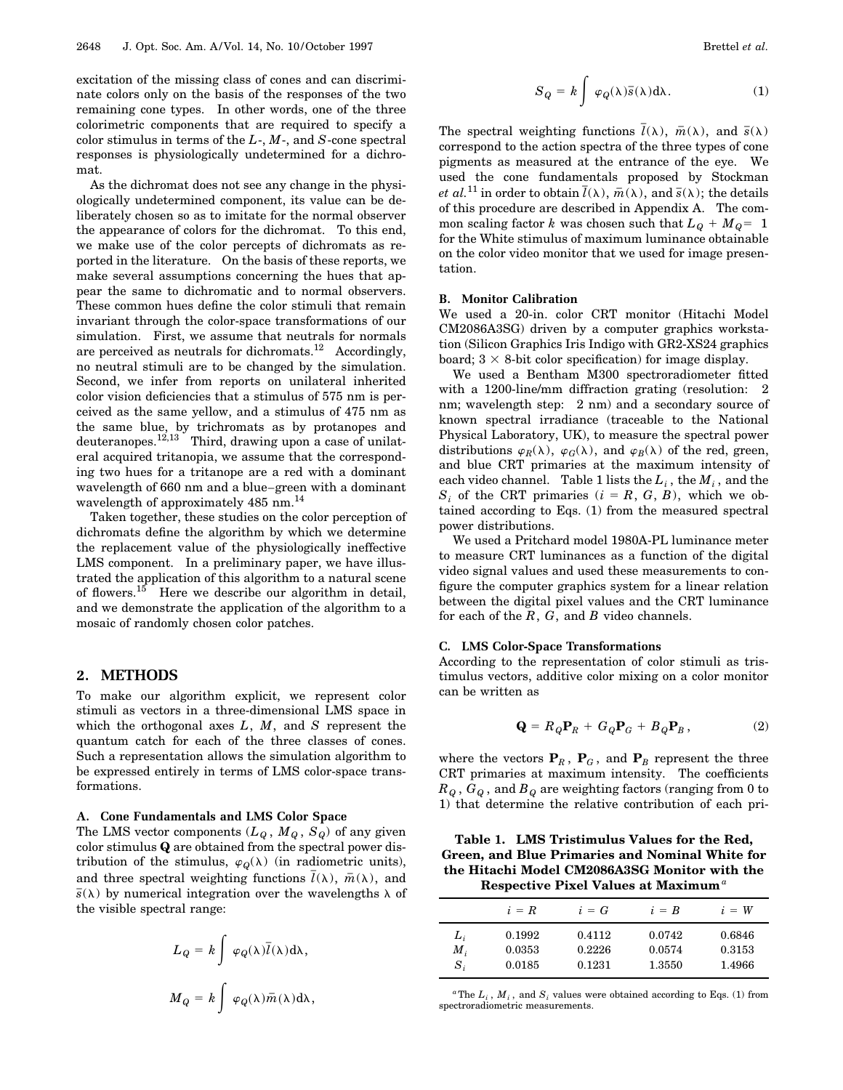excitation of the missing class of cones and can discriminate colors only on the basis of the responses of the two remaining cone types. In other words, one of the three colorimetric components that are required to specify a color stimulus in terms of the *L*-, *M*-, and *S*-cone spectral responses is physiologically undetermined for a dichromat.

As the dichromat does not see any change in the physiologically undetermined component, its value can be deliberately chosen so as to imitate for the normal observer the appearance of colors for the dichromat. To this end, we make use of the color percepts of dichromats as reported in the literature. On the basis of these reports, we make several assumptions concerning the hues that appear the same to dichromatic and to normal observers. These common hues define the color stimuli that remain invariant through the color-space transformations of our simulation. First, we assume that neutrals for normals are perceived as neutrals for dichromats.<sup>12</sup> Accordingly, no neutral stimuli are to be changed by the simulation. Second, we infer from reports on unilateral inherited color vision deficiencies that a stimulus of 575 nm is perceived as the same yellow, and a stimulus of 475 nm as the same blue, by trichromats as by protanopes and deuteranopes.<sup>12,13</sup> Third, drawing upon a case of unilateral acquired tritanopia, we assume that the corresponding two hues for a tritanope are a red with a dominant wavelength of 660 nm and a blue–green with a dominant wavelength of approximately 485 nm.<sup>14</sup>

Taken together, these studies on the color perception of dichromats define the algorithm by which we determine the replacement value of the physiologically ineffective LMS component. In a preliminary paper, we have illustrated the application of this algorithm to a natural scene of flowers.<sup>15</sup> Here we describe our algorithm in detail, and we demonstrate the application of the algorithm to a mosaic of randomly chosen color patches.

### **2. METHODS**

To make our algorithm explicit, we represent color stimuli as vectors in a three-dimensional LMS space in which the orthogonal axes *L*, *M*, and *S* represent the quantum catch for each of the three classes of cones. Such a representation allows the simulation algorithm to be expressed entirely in terms of LMS color-space transformations.

#### **A. Cone Fundamentals and LMS Color Space**

The LMS vector components  $(L_q, M_q, S_q)$  of any given color stimulus **Q** are obtained from the spectral power distribution of the stimulus,  $\varphi_Q(\lambda)$  (in radiometric units), and three spectral weighting functions  $\overline{l}(\lambda)$ ,  $\overline{m}(\lambda)$ , and  $\overline{s}(\lambda)$  by numerical integration over the wavelengths  $\lambda$  of the visible spectral range:

$$
L_Q = k \int \varphi_Q(\lambda) \overline{l}(\lambda) d\lambda,
$$
  

$$
M_Q = k \int \varphi_Q(\lambda) \overline{m}(\lambda) d\lambda,
$$

$$
S_Q = k \int \varphi_Q(\lambda) \overline{s}(\lambda) d\lambda.
$$
 (1)

The spectral weighting functions  $\bar{l}(\lambda)$ ,  $\bar{m}(\lambda)$ , and  $\bar{s}(\lambda)$ correspond to the action spectra of the three types of cone pigments as measured at the entrance of the eye. We used the cone fundamentals proposed by Stockman *et al.*<sup>11</sup> in order to obtain  $\overline{l}(\lambda)$ ,  $\overline{m}(\lambda)$ , and  $\overline{s}(\lambda)$ ; the details of this procedure are described in Appendix A. The common scaling factor *k* was chosen such that  $L_Q + M_Q = 1$ for the White stimulus of maximum luminance obtainable on the color video monitor that we used for image presentation.

#### **B. Monitor Calibration**

We used a 20-in. color CRT monitor (Hitachi Model CM2086A3SG) driven by a computer graphics workstation (Silicon Graphics Iris Indigo with GR2-XS24 graphics board;  $3 \times 8$ -bit color specification) for image display.

We used a Bentham M300 spectroradiometer fitted with a 1200-line/mm diffraction grating (resolution: 2 nm; wavelength step: 2 nm) and a secondary source of known spectral irradiance (traceable to the National Physical Laboratory, UK), to measure the spectral power distributions  $\varphi_R(\lambda)$ ,  $\varphi_G(\lambda)$ , and  $\varphi_B(\lambda)$  of the red, green, and blue CRT primaries at the maximum intensity of each video channel. Table 1 lists the  $L_i$ , the  $M_i$ , and the  $S_i$  of the CRT primaries  $(i = R, G, B)$ , which we obtained according to Eqs. (1) from the measured spectral power distributions.

We used a Pritchard model 1980A-PL luminance meter to measure CRT luminances as a function of the digital video signal values and used these measurements to configure the computer graphics system for a linear relation between the digital pixel values and the CRT luminance for each of the *R*, *G*, and *B* video channels.

#### **C. LMS Color-Space Transformations**

According to the representation of color stimuli as tristimulus vectors, additive color mixing on a color monitor can be written as

$$
\mathbf{Q} = R_Q \mathbf{P}_R + G_Q \mathbf{P}_G + B_Q \mathbf{P}_B, \qquad (2)
$$

where the vectors  $P_R$ ,  $P_G$ , and  $P_B$  represent the three CRT primaries at maximum intensity. The coefficients  $R_Q$ ,  $G_Q$ , and  $B_Q$  are weighting factors (ranging from 0 to 1) that determine the relative contribution of each pri-

| Table 1. LMS Tristimulus Values for the Red,    |
|-------------------------------------------------|
| Green, and Blue Primaries and Nominal White for |
| the Hitachi Model CM2086A3SG Monitor with the   |
| Respective Pixel Values at Maximum <sup>a</sup> |

|                | $i = R$          | $i = G$          | $i = B$          | $i = W$          |
|----------------|------------------|------------------|------------------|------------------|
| $L_i$<br>$M_i$ | 0.1992<br>0.0353 | 0.4112<br>0.2226 | 0.0742<br>0.0574 | 0.6846<br>0.3153 |
| $S_i$          | 0.0185           | 0.1231           | 1.3550           | 1.4966           |

<sup>*a*</sup>The  $L_i$ ,  $M_i$ , and  $S_i$  values were obtained according to Eqs. (1) from spectroradiometric measurements.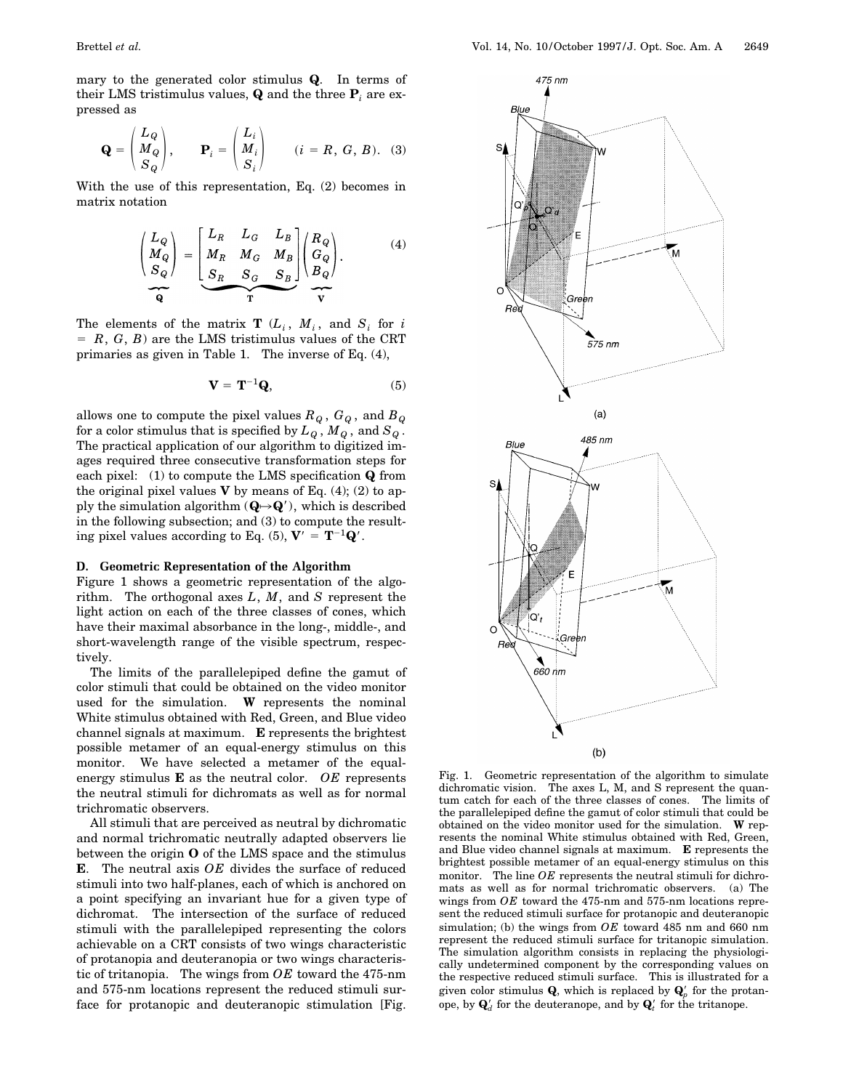mary to the generated color stimulus **Q**. In terms of their LMS tristimulus values, **Q** and the three  $P_i$  are expressed as

$$
\mathbf{Q} = \begin{pmatrix} L_Q \\ M_Q \\ S_Q \end{pmatrix}, \qquad \mathbf{P}_i = \begin{pmatrix} L_i \\ M_i \\ S_i \end{pmatrix} \qquad (i = R, G, B). \tag{3}
$$

With the use of this representation, Eq. (2) becomes in matrix notation

$$
\begin{pmatrix} L_Q \\ M_Q \\ S_Q \end{pmatrix} = \begin{bmatrix} L_R & L_G & L_B \\ M_R & M_G & M_B \\ S_R & S_G & S_B \end{bmatrix} \begin{pmatrix} R_Q \\ G_Q \\ B_Q \end{pmatrix}.
$$
 (4)  

$$
\overline{Q}
$$

The elements of the matrix **T**  $(L_i, M_i,$  and  $S_i$  for *i*  $R, G, B$  are the LMS tristimulus values of the CRT primaries as given in Table 1. The inverse of Eq. (4),

$$
\mathbf{V} = \mathbf{T}^{-1} \mathbf{Q},\tag{5}
$$

allows one to compute the pixel values  $R_Q$ ,  $G_Q$ , and  $B_Q$ for a color stimulus that is specified by  $L_q$ ,  $M_q$ , and  $S_q$ . The practical application of our algorithm to digitized images required three consecutive transformation steps for each pixel: (1) to compute the LMS specification **Q** from the original pixel values  $V$  by means of Eq. (4); (2) to apply the simulation algorithm  $(Q \rightarrow Q')$ , which is described in the following subsection; and (3) to compute the resulting pixel values according to Eq. (5),  $V' = T^{-1}Q'$ .

## **D. Geometric Representation of the Algorithm**

Figure 1 shows a geometric representation of the algorithm. The orthogonal axes *L*, *M*, and *S* represent the light action on each of the three classes of cones, which have their maximal absorbance in the long-, middle-, and short-wavelength range of the visible spectrum, respectively.

The limits of the parallelepiped define the gamut of color stimuli that could be obtained on the video monitor used for the simulation. **W** represents the nominal White stimulus obtained with Red, Green, and Blue video channel signals at maximum. **E** represents the brightest possible metamer of an equal-energy stimulus on this monitor. We have selected a metamer of the equalenergy stimulus **E** as the neutral color. *OE* represents the neutral stimuli for dichromats as well as for normal trichromatic observers.

All stimuli that are perceived as neutral by dichromatic and normal trichromatic neutrally adapted observers lie between the origin **O** of the LMS space and the stimulus **E**. The neutral axis *OE* divides the surface of reduced stimuli into two half-planes, each of which is anchored on a point specifying an invariant hue for a given type of dichromat. The intersection of the surface of reduced stimuli with the parallelepiped representing the colors achievable on a CRT consists of two wings characteristic of protanopia and deuteranopia or two wings characteristic of tritanopia. The wings from *OE* toward the 475-nm and 575-nm locations represent the reduced stimuli surface for protanopic and deuteranopic stimulation [Fig.



Fig. 1. Geometric representation of the algorithm to simulate dichromatic vision. The axes L, M, and S represent the quantum catch for each of the three classes of cones. The limits of the parallelepiped define the gamut of color stimuli that could be obtained on the video monitor used for the simulation. **W** represents the nominal White stimulus obtained with Red, Green, and Blue video channel signals at maximum. **E** represents the brightest possible metamer of an equal-energy stimulus on this monitor. The line *OE* represents the neutral stimuli for dichromats as well as for normal trichromatic observers. (a) The wings from *OE* toward the 475-nm and 575-nm locations represent the reduced stimuli surface for protanopic and deuteranopic simulation; (b) the wings from *OE* toward 485 nm and 660 nm represent the reduced stimuli surface for tritanopic simulation. The simulation algorithm consists in replacing the physiologically undetermined component by the corresponding values on the respective reduced stimuli surface. This is illustrated for a given color stimulus  $\mathbf{Q}$ , which is replaced by  $\mathbf{Q}'_p$  for the protanope, by  $\mathbf{Q}'_d$  for the deuteranope, and by  $\mathbf{Q}'_t$  for the tritanope.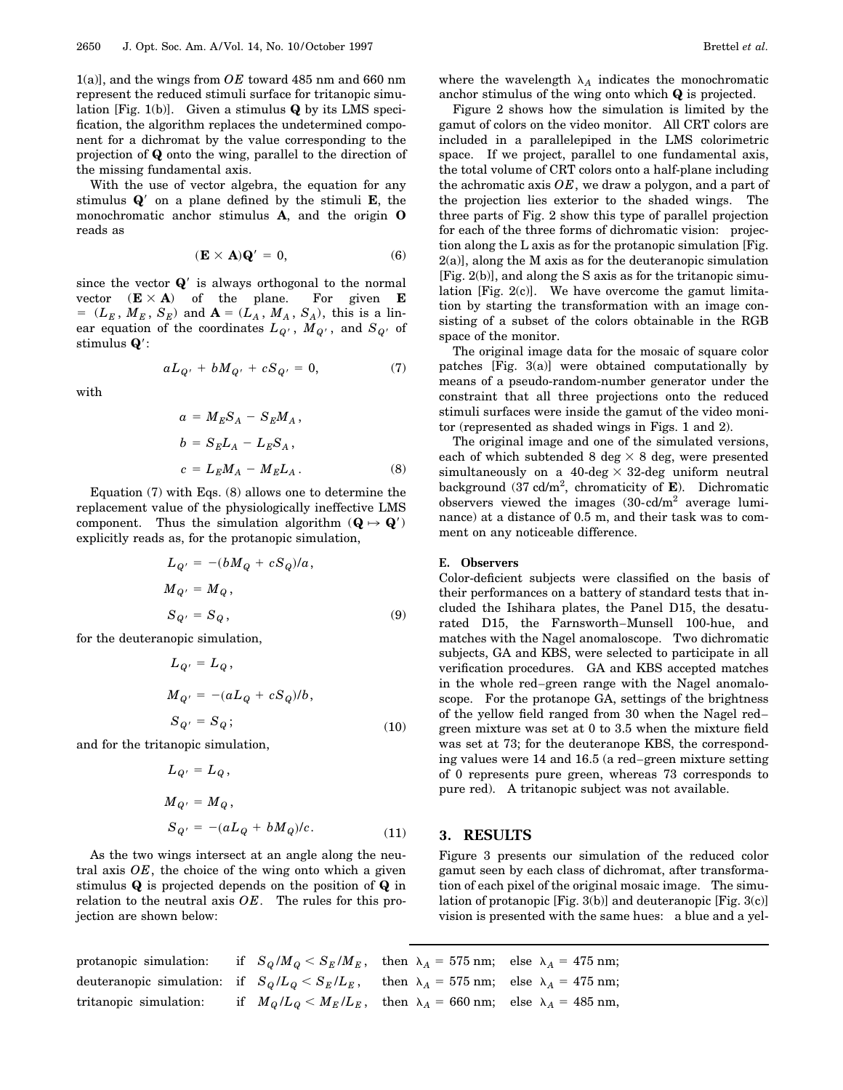1(a)], and the wings from *OE* toward 485 nm and 660 nm represent the reduced stimuli surface for tritanopic simulation [Fig. 1(b)]. Given a stimulus **Q** by its LMS specification, the algorithm replaces the undetermined component for a dichromat by the value corresponding to the projection of **Q** onto the wing, parallel to the direction of the missing fundamental axis.

With the use of vector algebra, the equation for any stimulus  $Q'$  on a plane defined by the stimuli **E**, the monochromatic anchor stimulus **A**, and the origin **O** reads as

$$
(\mathbf{E} \times \mathbf{A})\mathbf{Q}' = 0, \tag{6}
$$

since the vector  $\mathbf{Q}'$  is always orthogonal to the normal vector  $(\mathbf{E} \times \mathbf{A})$  of the plane. For given **E**  $=(L_E, M_E, S_E)$  and  $\mathbf{A}=(L_A, M_A, S_A)$ , this is a linear equation of the coordinates  $L_{Q'}$ ,  $M_{Q'}$ , and  $S_{Q'}$  of stimulus  $Q$ :

$$
aL_{Q'} + bM_{Q'} + cS_{Q'} = 0, \qquad (7)
$$

with

$$
a = M_E S_A - S_E M_A,
$$
  
\n
$$
b = S_E L_A - L_E S_A,
$$
  
\n
$$
c = L_E M_A - M_E L_A.
$$
\n(8)

Equation (7) with Eqs. (8) allows one to determine the replacement value of the physiologically ineffective LMS component. Thus the simulation algorithm  $(\mathbf{Q} \mapsto \mathbf{Q}')$ explicitly reads as, for the protanopic simulation,

$$
L_{Q'} = -(bM_Q + cS_Q)/a,
$$
  
\n
$$
M_{Q'} = M_Q,
$$
  
\n
$$
S_{Q'} = S_Q,
$$
\n(9)

for the deuteranopic simulation,

$$
L_{Q'} = L_Q,
$$
  
\n
$$
M_{Q'} = -(aL_Q + cS_Q)/b,
$$
  
\n
$$
S_{Q'} = S_Q;
$$
\n(10)

and for the tritanopic simulation,

$$
L_{Q'} = L_Q,
$$
  
\n
$$
M_{Q'} = M_Q,
$$
  
\n
$$
S_{Q'} = -(aL_Q + bM_Q)/c.
$$
\n(11)

As the two wings intersect at an angle along the neutral axis *OE*, the choice of the wing onto which a given stimulus **Q** is projected depends on the position of **Q** in relation to the neutral axis *OE*. The rules for this projection are shown below:

where the wavelength  $\lambda_A$  indicates the monochromatic anchor stimulus of the wing onto which **Q** is projected.

Figure 2 shows how the simulation is limited by the gamut of colors on the video monitor. All CRT colors are included in a parallelepiped in the LMS colorimetric space. If we project, parallel to one fundamental axis, the total volume of CRT colors onto a half-plane including the achromatic axis *OE*, we draw a polygon, and a part of the projection lies exterior to the shaded wings. The three parts of Fig. 2 show this type of parallel projection for each of the three forms of dichromatic vision: projection along the L axis as for the protanopic simulation [Fig. 2(a)], along the M axis as for the deuteranopic simulation [Fig. 2(b)], and along the S axis as for the tritanopic simulation [Fig.  $2(c)$ ]. We have overcome the gamut limitation by starting the transformation with an image consisting of a subset of the colors obtainable in the RGB space of the monitor.

The original image data for the mosaic of square color patches [Fig. 3(a)] were obtained computationally by means of a pseudo-random-number generator under the constraint that all three projections onto the reduced stimuli surfaces were inside the gamut of the video monitor (represented as shaded wings in Figs. 1 and 2).

The original image and one of the simulated versions, each of which subtended 8 deg  $\times$  8 deg, were presented simultaneously on a 40-deg  $\times$  32-deg uniform neutral background (37 cd/m2 , chromaticity of **E**). Dichromatic observers viewed the images  $(30 \text{-} \text{cd/m}^2)$  average luminance) at a distance of 0.5 m, and their task was to comment on any noticeable difference.

## **E. Observers**

Color-deficient subjects were classified on the basis of their performances on a battery of standard tests that included the Ishihara plates, the Panel D15, the desaturated D15, the Farnsworth–Munsell 100-hue, and matches with the Nagel anomaloscope. Two dichromatic subjects, GA and KBS, were selected to participate in all verification procedures. GA and KBS accepted matches in the whole red–green range with the Nagel anomaloscope. For the protanope GA, settings of the brightness of the yellow field ranged from 30 when the Nagel red– green mixture was set at 0 to 3.5 when the mixture field was set at 73; for the deuteranope KBS, the corresponding values were 14 and 16.5 (a red–green mixture setting of 0 represents pure green, whereas 73 corresponds to pure red). A tritanopic subject was not available.

## **3. RESULTS**

Figure 3 presents our simulation of the reduced color gamut seen by each class of dichromat, after transformation of each pixel of the original mosaic image. The simulation of protanopic [Fig. 3(b)] and deuteranopic [Fig. 3(c)] vision is presented with the same hues: a blue and a yel-

| protanopic simulation: if $S_Q/M_Q \leq S_E/M_E$ , then $\lambda_A = 575$ nm; else $\lambda_A = 475$ nm; |  |                                                                                            |  |
|----------------------------------------------------------------------------------------------------------|--|--------------------------------------------------------------------------------------------|--|
| deuteranopic simulation: if $S_Q/L_Q < S_E/L_E$ , then $\lambda_A = 575$ nm; else $\lambda_A = 475$ nm;  |  |                                                                                            |  |
| tritanopic simulation:                                                                                   |  | if $M_{Q}/L_{Q} < M_{E}/L_{E}$ , then $\lambda_{A} = 660$ nm; else $\lambda_{A} = 485$ nm, |  |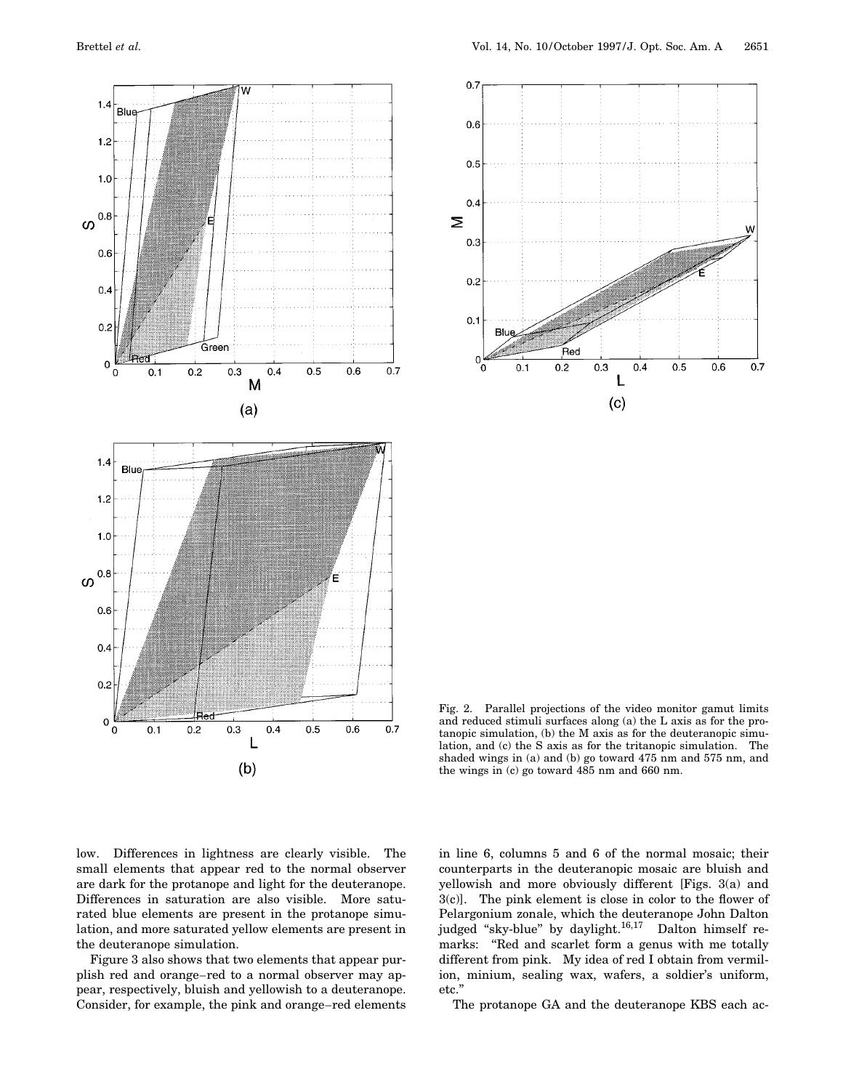



Fig. 2. Parallel projections of the video monitor gamut limits and reduced stimuli surfaces along (a) the L axis as for the protanopic simulation, (b) the M axis as for the deuteranopic simulation, and (c) the S axis as for the tritanopic simulation. The shaded wings in (a) and (b) go toward 475 nm and 575 nm, and the wings in (c) go toward 485 nm and 660 nm.

low. Differences in lightness are clearly visible. The small elements that appear red to the normal observer are dark for the protanope and light for the deuteranope. Differences in saturation are also visible. More saturated blue elements are present in the protanope simulation, and more saturated yellow elements are present in the deuteranope simulation.

Figure 3 also shows that two elements that appear purplish red and orange–red to a normal observer may appear, respectively, bluish and yellowish to a deuteranope. Consider, for example, the pink and orange–red elements

in line 6, columns 5 and 6 of the normal mosaic; their counterparts in the deuteranopic mosaic are bluish and yellowish and more obviously different [Figs. 3(a) and 3(c)]. The pink element is close in color to the flower of Pelargonium zonale, which the deuteranope John Dalton judged "sky-blue" by daylight.<sup>16,17</sup> Dalton himself remarks: "Red and scarlet form a genus with me totally different from pink. My idea of red I obtain from vermilion, minium, sealing wax, wafers, a soldier's uniform, etc.''

The protanope GA and the deuteranope KBS each ac-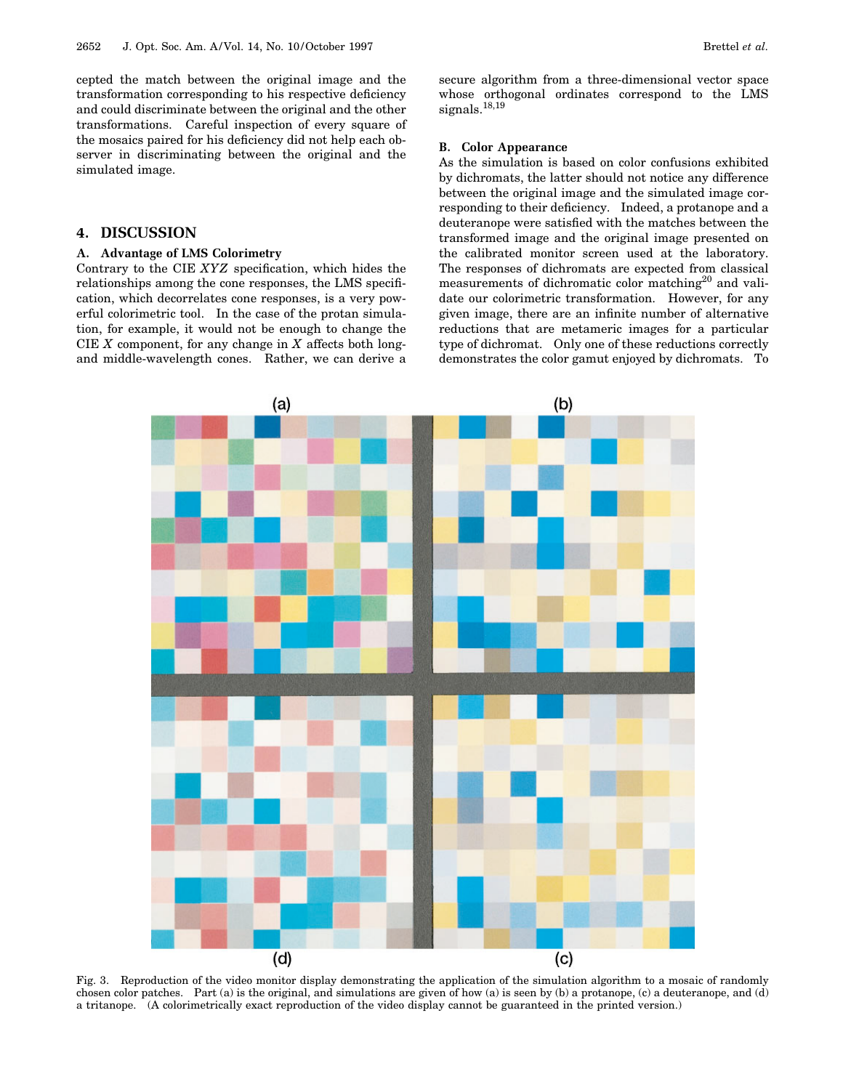cepted the match between the original image and the transformation corresponding to his respective deficiency and could discriminate between the original and the other transformations. Careful inspection of every square of the mosaics paired for his deficiency did not help each observer in discriminating between the original and the simulated image.

# **4. DISCUSSION**

# **A. Advantage of LMS Colorimetry**

Contrary to the CIE *XYZ* specification, which hides the relationships among the cone responses, the LMS specification, which decorrelates cone responses, is a very powerful colorimetric tool. In the case of the protan simulation, for example, it would not be enough to change the CIE *X* component, for any change in *X* affects both longand middle-wavelength cones. Rather, we can derive a secure algorithm from a three-dimensional vector space whose orthogonal ordinates correspond to the LMS signals.<sup>18,19</sup>

## **B. Color Appearance**

As the simulation is based on color confusions exhibited by dichromats, the latter should not notice any difference between the original image and the simulated image corresponding to their deficiency. Indeed, a protanope and a deuteranope were satisfied with the matches between the transformed image and the original image presented on the calibrated monitor screen used at the laboratory. The responses of dichromats are expected from classical measurements of dichromatic color matching<sup>20</sup> and validate our colorimetric transformation. However, for any given image, there are an infinite number of alternative reductions that are metameric images for a particular type of dichromat. Only one of these reductions correctly demonstrates the color gamut enjoyed by dichromats. To



Fig. 3. Reproduction of the video monitor display demonstrating the application of the simulation algorithm to a mosaic of randomly chosen color patches. Part (a) is the original, and simulations are given of how (a) is seen by (b) a protanope, (c) a deuteranope, and (d) a tritanope. (A colorimetrically exact reproduction of the video display cannot be guaranteed in the printed version.)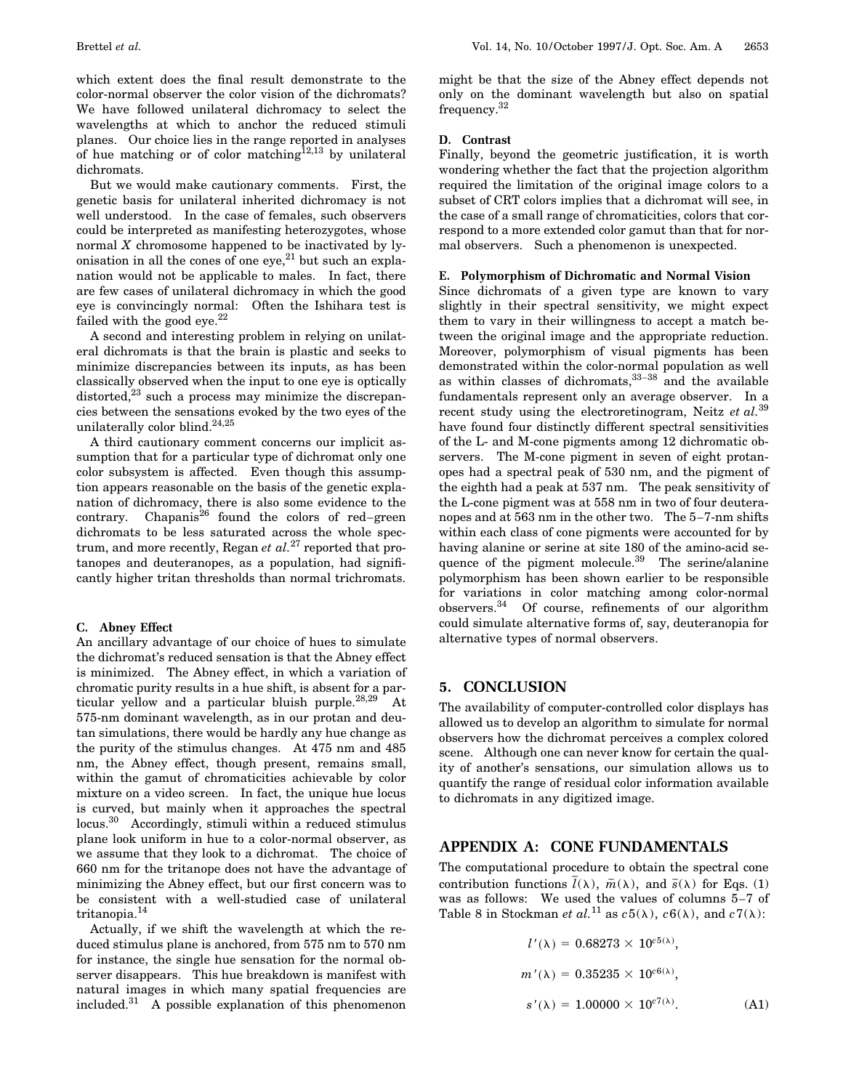which extent does the final result demonstrate to the color-normal observer the color vision of the dichromats? We have followed unilateral dichromacy to select the wavelengths at which to anchor the reduced stimuli planes. Our choice lies in the range reported in analyses of hue matching or of color matching<sup>12,13</sup> by unilateral dichromats.

But we would make cautionary comments. First, the genetic basis for unilateral inherited dichromacy is not well understood. In the case of females, such observers could be interpreted as manifesting heterozygotes, whose normal *X* chromosome happened to be inactivated by lyonisation in all the cones of one eye, $^{21}$  but such an explanation would not be applicable to males. In fact, there are few cases of unilateral dichromacy in which the good eye is convincingly normal: Often the Ishihara test is failed with the good eye. $^{22}$ 

A second and interesting problem in relying on unilateral dichromats is that the brain is plastic and seeks to minimize discrepancies between its inputs, as has been classically observed when the input to one eye is optically distorted, $^{23}$  such a process may minimize the discrepancies between the sensations evoked by the two eyes of the unilaterally color blind.24,25

A third cautionary comment concerns our implicit assumption that for a particular type of dichromat only one color subsystem is affected. Even though this assumption appears reasonable on the basis of the genetic explanation of dichromacy, there is also some evidence to the contrary. Chapanis<sup>26</sup> found the colors of red–green dichromats to be less saturated across the whole spectrum, and more recently, Regan *et al.*<sup>27</sup> reported that protanopes and deuteranopes, as a population, had significantly higher tritan thresholds than normal trichromats.

## **C. Abney Effect**

An ancillary advantage of our choice of hues to simulate the dichromat's reduced sensation is that the Abney effect is minimized. The Abney effect, in which a variation of chromatic purity results in a hue shift, is absent for a particular yellow and a particular bluish purple. $28,29$  At 575-nm dominant wavelength, as in our protan and deutan simulations, there would be hardly any hue change as the purity of the stimulus changes. At 475 nm and 485 nm, the Abney effect, though present, remains small, within the gamut of chromaticities achievable by color mixture on a video screen. In fact, the unique hue locus is curved, but mainly when it approaches the spectral locus.30 Accordingly, stimuli within a reduced stimulus plane look uniform in hue to a color-normal observer, as we assume that they look to a dichromat. The choice of 660 nm for the tritanope does not have the advantage of minimizing the Abney effect, but our first concern was to be consistent with a well-studied case of unilateral tritanopia.<sup>14</sup>

Actually, if we shift the wavelength at which the reduced stimulus plane is anchored, from 575 nm to 570 nm for instance, the single hue sensation for the normal observer disappears. This hue breakdown is manifest with natural images in which many spatial frequencies are included. $31$  A possible explanation of this phenomenon

might be that the size of the Abney effect depends not only on the dominant wavelength but also on spatial frequency.<sup>32</sup>

## **D. Contrast**

Finally, beyond the geometric justification, it is worth wondering whether the fact that the projection algorithm required the limitation of the original image colors to a subset of CRT colors implies that a dichromat will see, in the case of a small range of chromaticities, colors that correspond to a more extended color gamut than that for normal observers. Such a phenomenon is unexpected.

#### **E. Polymorphism of Dichromatic and Normal Vision**

Since dichromats of a given type are known to vary slightly in their spectral sensitivity, we might expect them to vary in their willingness to accept a match between the original image and the appropriate reduction. Moreover, polymorphism of visual pigments has been demonstrated within the color-normal population as well as within classes of dichromats, $33-38$  and the available fundamentals represent only an average observer. In a recent study using the electroretinogram, Neitz *et al.*<sup>39</sup> have found four distinctly different spectral sensitivities of the L- and M-cone pigments among 12 dichromatic observers. The M-cone pigment in seven of eight protanopes had a spectral peak of 530 nm, and the pigment of the eighth had a peak at 537 nm. The peak sensitivity of the L-cone pigment was at 558 nm in two of four deuteranopes and at 563 nm in the other two. The 5–7-nm shifts within each class of cone pigments were accounted for by having alanine or serine at site 180 of the amino-acid sequence of the pigment molecule.<sup>39</sup> The serine/alanine polymorphism has been shown earlier to be responsible for variations in color matching among color-normal observers.34 Of course, refinements of our algorithm could simulate alternative forms of, say, deuteranopia for alternative types of normal observers.

# **5. CONCLUSION**

The availability of computer-controlled color displays has allowed us to develop an algorithm to simulate for normal observers how the dichromat perceives a complex colored scene. Although one can never know for certain the quality of another's sensations, our simulation allows us to quantify the range of residual color information available to dichromats in any digitized image.

# **APPENDIX A: CONE FUNDAMENTALS**

The computational procedure to obtain the spectral cone contribution functions  $\bar{l}(\lambda)$ ,  $\bar{m}(\lambda)$ , and  $\bar{s}(\lambda)$  for Eqs. (1) was as follows: We used the values of columns 5–7 of Table 8 in Stockman *et al.*<sup>11</sup> as  $c5(\lambda)$ ,  $c6(\lambda)$ , and  $c7(\lambda)$ :

$$
l'(\lambda) = 0.68273 \times 10^{c5(\lambda)},
$$
  
\n
$$
m'(\lambda) = 0.35235 \times 10^{c6(\lambda)},
$$
  
\n
$$
s'(\lambda) = 1.00000 \times 10^{c7(\lambda)}.
$$
 (A1)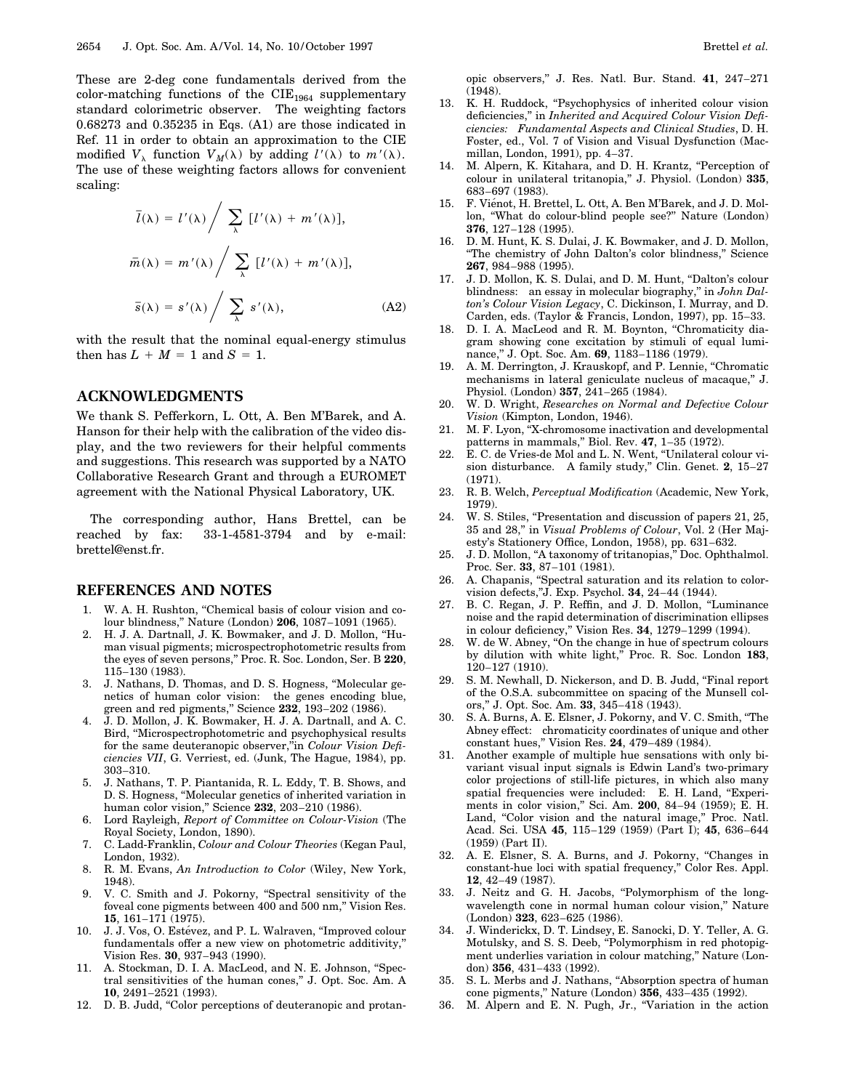These are 2-deg cone fundamentals derived from the color-matching functions of the  $CIE_{1964}$  supplementary standard colorimetric observer. The weighting factors 0.68273 and 0.35235 in Eqs. (A1) are those indicated in Ref. 11 in order to obtain an approximation to the CIE modified  $V_{\lambda}$  function  $V_M(\lambda)$  by adding  $l'(\lambda)$  to  $m'(\lambda)$ . The use of these weighting factors allows for convenient scaling:

$$
\overline{l}(\lambda) = l'(\lambda) / \sum_{\lambda} [l'(\lambda) + m'(\lambda)],
$$

$$
\overline{m}(\lambda) = m'(\lambda) / \sum_{\lambda} [l'(\lambda) + m'(\lambda)],
$$

$$
\overline{s}(\lambda) = s'(\lambda) / \sum_{\lambda} s'(\lambda),
$$
(A2)

with the result that the nominal equal-energy stimulus then has  $L + M = 1$  and  $S = 1$ .

# **ACKNOWLEDGMENTS**

We thank S. Pefferkorn, L. Ott, A. Ben M'Barek, and A. Hanson for their help with the calibration of the video display, and the two reviewers for their helpful comments and suggestions. This research was supported by a NATO Collaborative Research Grant and through a EUROMET agreement with the National Physical Laboratory, UK.

The corresponding author, Hans Brettel, can be reached by fax: 33-1-4581-3794 and by e-mail: brettel@enst.fr.

# **REFERENCES AND NOTES**

- 1. W. A. H. Rushton, ''Chemical basis of colour vision and colour blindness,'' Nature (London) **206**, 1087–1091 (1965).
- 2. H. J. A. Dartnall, J. K. Bowmaker, and J. D. Mollon, ''Human visual pigments; microspectrophotometric results from the eyes of seven persons,'' Proc. R. Soc. London, Ser. B **220**, 115–130 (1983).
- 3. J. Nathans, D. Thomas, and D. S. Hogness, ''Molecular genetics of human color vision: the genes encoding blue, green and red pigments,'' Science **232**, 193–202 (1986).
- 4. J. D. Mollon, J. K. Bowmaker, H. J. A. Dartnall, and A. C. Bird, ''Microspectrophotometric and psychophysical results for the same deuteranopic observer,''in *Colour Vision Deficiencies VII*, G. Verriest, ed. (Junk, The Hague, 1984), pp. 303–310.
- 5. J. Nathans, T. P. Piantanida, R. L. Eddy, T. B. Shows, and D. S. Hogness, ''Molecular genetics of inherited variation in human color vision,'' Science **232**, 203–210 (1986).
- 6. Lord Rayleigh, *Report of Committee on Colour-Vision* (The Royal Society, London, 1890).
- 7. C. Ladd-Franklin, *Colour and Colour Theories* (Kegan Paul, London, 1932).
- 8. R. M. Evans, *An Introduction to Color* (Wiley, New York, 1948).
- 9. V. C. Smith and J. Pokorny, ''Spectral sensitivity of the foveal cone pigments between 400 and 500 nm,'' Vision Res. **15**, 161–171 (1975).
- 10. J. J. Vos, O. Estévez, and P. L. Walraven, "Improved colour fundamentals offer a new view on photometric additivity,'' Vision Res. **30**, 937–943 (1990).
- 11. A. Stockman, D. I. A. MacLeod, and N. E. Johnson, ''Spectral sensitivities of the human cones,'' J. Opt. Soc. Am. A **10**, 2491–2521 (1993).
- 12. D. B. Judd, "Color perceptions of deuteranopic and protan-

opic observers,'' J. Res. Natl. Bur. Stand. **41**, 247–271 (1948).

- 13. K. H. Ruddock, "Psychophysics of inherited colour vision deficiencies,'' in *Inherited and Acquired Colour Vision Deficiencies: Fundamental Aspects and Clinical Studies*, D. H. Foster, ed., Vol. 7 of Vision and Visual Dysfunction (Macmillan, London, 1991), pp. 4–37.
- M. Alpern, K. Kitahara, and D. H. Krantz, "Perception of colour in unilateral tritanopia,'' J. Physiol. (London) **335**, 683–697 (1983).
- 15. F. Vienot, H. Brettel, L. Ott, A. Ben M'Barek, and J. D. Mollon, ''What do colour-blind people see?'' Nature (London) **376**, 127–128 (1995).
- 16. D. M. Hunt, K. S. Dulai, J. K. Bowmaker, and J. D. Mollon, ''The chemistry of John Dalton's color blindness,'' Science **267**, 984–988 (1995).
- 17. J. D. Mollon, K. S. Dulai, and D. M. Hunt, ''Dalton's colour blindness: an essay in molecular biography,'' in *John Dalton's Colour Vision Legacy*, C. Dickinson, I. Murray, and D. Carden, eds. (Taylor & Francis, London, 1997), pp. 15–33.
- 18. D. I. A. MacLeod and R. M. Boynton, "Chromaticity diagram showing cone excitation by stimuli of equal luminance,'' J. Opt. Soc. Am. **69**, 1183–1186 (1979).
- 19. A. M. Derrington, J. Krauskopf, and P. Lennie, ''Chromatic mechanisms in lateral geniculate nucleus of macaque,'' J. Physiol. (London) **357**, 241–265 (1984).
- 20. W. D. Wright, *Researches on Normal and Defective Colour Vision* (Kimpton, London, 1946).
- 21. M. F. Lyon, ''X-chromosome inactivation and developmental patterns in mammals,'' Biol. Rev. **47**, 1–35 (1972).
- 22. E. C. de Vries-de Mol and L. N. Went, ''Unilateral colour vision disturbance. A family study,'' Clin. Genet. **2**, 15–27 (1971).
- 23. R. B. Welch, *Perceptual Modification* (Academic, New York, 1979).
- 24. W. S. Stiles, "Presentation and discussion of papers 21, 25, 35 and 28,'' in *Visual Problems of Colour*, Vol. 2 (Her Majesty's Stationery Office, London, 1958), pp. 631–632.
- 25. J. D. Mollon, ''A taxonomy of tritanopias,'' Doc. Ophthalmol. Proc. Ser. **33**, 87–101 (1981).
- 26. A. Chapanis, ''Spectral saturation and its relation to colorvision defects,''J. Exp. Psychol. **34**, 24–44 (1944).
- 27. B. C. Regan, J. P. Reffin, and J. D. Mollon, ''Luminance noise and the rapid determination of discrimination ellipses in colour deficiency,'' Vision Res. **34**, 1279–1299 (1994).
- 28. W. de W. Abney, "On the change in hue of spectrum colours by dilution with white light,'' Proc. R. Soc. London **183**, 120–127 (1910).
- 29. S. M. Newhall, D. Nickerson, and D. B. Judd, "Final report of the O.S.A. subcommittee on spacing of the Munsell colors,'' J. Opt. Soc. Am. **33**, 345–418 (1943).
- 30. S. A. Burns, A. E. Elsner, J. Pokorny, and V. C. Smith, ''The Abney effect: chromaticity coordinates of unique and other constant hues,'' Vision Res. **24**, 479–489 (1984).
- 31. Another example of multiple hue sensations with only bivariant visual input signals is Edwin Land's two-primary color projections of still-life pictures, in which also many spatial frequencies were included: E. H. Land, "Experiments in color vision,'' Sci. Am. **200**, 84–94 (1959); E. H. Land, "Color vision and the natural image," Proc. Natl. Acad. Sci. USA **45**, 115–129 (1959) (Part I); **45**, 636–644 (1959) (Part II).
- 32. A. E. Elsner, S. A. Burns, and J. Pokorny, ''Changes in constant-hue loci with spatial frequency,'' Color Res. Appl. **12**, 42–49 (1987).
- 33. J. Neitz and G. H. Jacobs, "Polymorphism of the longwavelength cone in normal human colour vision,'' Nature (London) **323**, 623–625 (1986).
- 34. J. Winderickx, D. T. Lindsey, E. Sanocki, D. Y. Teller, A. G. Motulsky, and S. S. Deeb, ''Polymorphism in red photopigment underlies variation in colour matching,'' Nature (London) **356**, 431–433 (1992).
- 35. S. L. Merbs and J. Nathans, ''Absorption spectra of human cone pigments,'' Nature (London) **356**, 433–435 (1992).
- 36. M. Alpern and E. N. Pugh, Jr., ''Variation in the action